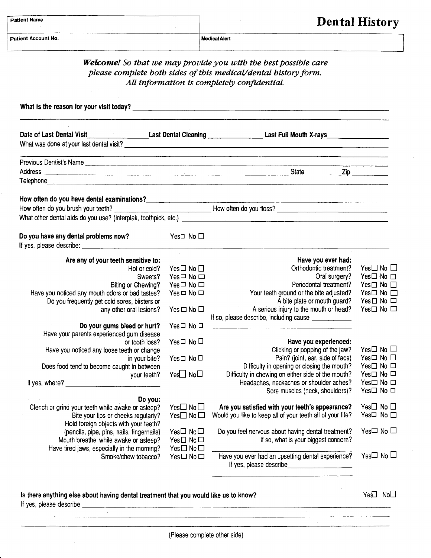**Medical Alert** 

|                                                                                                                                                                                                                                                                                       |                                  | <b>Welcome!</b> So that we may provide you with the best possible care<br>please complete both sides of this medical/dental history form.<br>All information is completely confidential. |                                                    |
|---------------------------------------------------------------------------------------------------------------------------------------------------------------------------------------------------------------------------------------------------------------------------------------|----------------------------------|------------------------------------------------------------------------------------------------------------------------------------------------------------------------------------------|----------------------------------------------------|
|                                                                                                                                                                                                                                                                                       |                                  |                                                                                                                                                                                          |                                                    |
|                                                                                                                                                                                                                                                                                       |                                  | Date of Last Dental Visit_______________________Last Dental Cleaning ______________________Last Full Mouth X-rays______________________<br>What was done at your last dental visit?      |                                                    |
| Previous Dentist's Name                                                                                                                                                                                                                                                               |                                  | <u> 1980 - Angel Angel Angel Angel Angel Angel Angel Angel Angel Angel Angel Angel Angel Angel Angel Angel Angel A</u>                                                                   |                                                    |
|                                                                                                                                                                                                                                                                                       |                                  |                                                                                                                                                                                          |                                                    |
| How often do you have dental examinations?                                                                                                                                                                                                                                            |                                  |                                                                                                                                                                                          |                                                    |
|                                                                                                                                                                                                                                                                                       |                                  | How often do you brush your teeth? __________________________________How often do you floss?                                                                                             |                                                    |
|                                                                                                                                                                                                                                                                                       |                                  |                                                                                                                                                                                          |                                                    |
| Do you have any dental problems now?                                                                                                                                                                                                                                                  | Yes□ No □                        |                                                                                                                                                                                          |                                                    |
| Are any of your teeth sensitive to:                                                                                                                                                                                                                                                   |                                  | Have you ever had:                                                                                                                                                                       |                                                    |
| Hot or cold?                                                                                                                                                                                                                                                                          | Yes□ No □                        | Orthodontic treatment?                                                                                                                                                                   | Yes $\Box$ No $\Box$                               |
| Sweets?                                                                                                                                                                                                                                                                               | $Yes \Box No \Box$               | Oral surgery?<br>Periodontal treatment?                                                                                                                                                  | $Yes \Box No \Box$                                 |
| Biting or Chewing?<br>Have you noticed any mouth odors or bad tastes?                                                                                                                                                                                                                 | $Yes \Box No \Box$<br>Yes □ No □ | Your teeth ground or the bite adjusted?                                                                                                                                                  | Yes $\Box$ No $\Box$<br>Yes $\square$ No $\square$ |
| Do you frequently get cold sores, blisters or                                                                                                                                                                                                                                         |                                  | A bite plate or mouth guard?                                                                                                                                                             | $Yes \Box No \Box$                                 |
| any other oral lesions?                                                                                                                                                                                                                                                               | $Yes \Box No \Box$               | A serious injury to the mouth or head?                                                                                                                                                   | Yes $\Box$ No $\Box$                               |
|                                                                                                                                                                                                                                                                                       |                                  | If so, please describe, including cause _____________                                                                                                                                    |                                                    |
| Do your gums bleed or hurt?<br>Have your parents experienced gum disease                                                                                                                                                                                                              | Yes□ No □                        |                                                                                                                                                                                          |                                                    |
| or tooth loss?                                                                                                                                                                                                                                                                        | Yes□ No □                        | Have you experienced:                                                                                                                                                                    |                                                    |
| Have you noticed any loose teeth or change                                                                                                                                                                                                                                            |                                  | Clicking or popping of the jaw?                                                                                                                                                          | Yes□ No □                                          |
| in your bite?<br>Does food tend to become caught in between                                                                                                                                                                                                                           | $Yes \Box No \Box$               | Pain? (joint, ear, side of face)<br>Difficulty in opening or closing the mouth?                                                                                                          | Yes□ No □<br>Yes□ No □                             |
| your teeth?                                                                                                                                                                                                                                                                           | Yes□ No□                         | Difficulty in chewing on either side of the mouth?                                                                                                                                       | Yes□ No □                                          |
| If yes, where? $\frac{1}{2}$ [10] $\frac{1}{2}$ [10] $\frac{1}{2}$ [10] $\frac{1}{2}$ [10] $\frac{1}{2}$ [10] $\frac{1}{2}$ [10] $\frac{1}{2}$ [10] $\frac{1}{2}$ [10] $\frac{1}{2}$ [10] $\frac{1}{2}$ [10] $\frac{1}{2}$ [10] $\frac{1}{2}$ [10] $\frac{1}{2}$ [10] $\frac{1}{2}$ [ |                                  | Headaches, neckaches or shoulder aches?                                                                                                                                                  | Yes□ No □                                          |
| Do you:                                                                                                                                                                                                                                                                               |                                  | Sore muscles (neck, shoulders)?                                                                                                                                                          | Yes□ No □                                          |
| Clench or grind your teeth while awake or asleep?                                                                                                                                                                                                                                     | Yes $\square$ No $\square$       | Are you satisfied with your teeth's appearance?                                                                                                                                          | Yes□ No □                                          |
| Bite your lips or cheeks regularly?                                                                                                                                                                                                                                                   | Yes□ No□                         | Would you like to keep all of your teeth all of your life?                                                                                                                               | Yes□ No □                                          |
| Hold foreign objects with your teeth?                                                                                                                                                                                                                                                 |                                  |                                                                                                                                                                                          |                                                    |
| (pencils, pipe, pins, nails, fingernails)<br>Mouth breathe while awake or asleep?                                                                                                                                                                                                     | Yes□ No□<br>$Yes \Box No \Box$   | Do you feel nervous about having dental treatment?<br>If so, what is your biggest concern?                                                                                               | Yes□ No □                                          |
| Have tired jaws, especially in the morning?                                                                                                                                                                                                                                           | $Yes \Box No \Box$               |                                                                                                                                                                                          |                                                    |
| Smoke/chew tobacco?                                                                                                                                                                                                                                                                   | Yes□No□                          | Have you ever had an upsetting dental experience?<br>If yes, please describe                                                                                                             | Yes $\square$ No $\square$                         |
|                                                                                                                                                                                                                                                                                       |                                  |                                                                                                                                                                                          |                                                    |
|                                                                                                                                                                                                                                                                                       |                                  |                                                                                                                                                                                          |                                                    |

## ls there anything else about having dental treatment that you would like us to know?

 $Ye\Box$  No $\Box$ 

 $\alpha$ 

lf yes, please describe